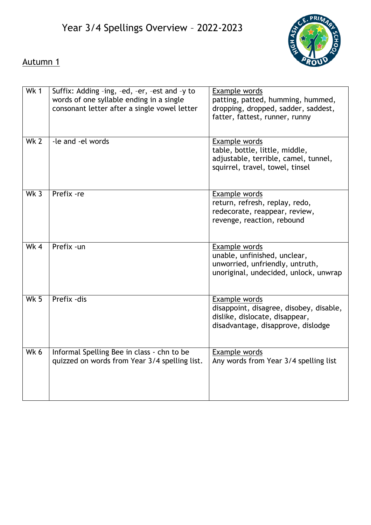

# Autumn 1

| <b>Wk1</b>      | Suffix: Adding -ing, -ed, -er, -est and -y to<br>words of one syllable ending in a single<br>consonant letter after a single vowel letter | Example words<br>patting, patted, humming, hummed,<br>dropping, dropped, sadder, saddest,<br>fatter, fattest, runner, runny      |
|-----------------|-------------------------------------------------------------------------------------------------------------------------------------------|----------------------------------------------------------------------------------------------------------------------------------|
| Wk <sub>2</sub> | -le and -el words                                                                                                                         | Example words<br>table, bottle, little, middle,<br>adjustable, terrible, camel, tunnel,<br>squirrel, travel, towel, tinsel       |
| Wk $3$          | Prefix -re                                                                                                                                | Example words<br>return, refresh, replay, redo,<br>redecorate, reappear, review,<br>revenge, reaction, rebound                   |
| Wk $4$          | Prefix -un                                                                                                                                | Example words<br>unable, unfinished, unclear,<br>unworried, unfriendly, untruth,<br>unoriginal, undecided, unlock, unwrap        |
| $Wk$ 5          | Prefix - dis                                                                                                                              | Example words<br>disappoint, disagree, disobey, disable,<br>dislike, dislocate, disappear,<br>disadvantage, disapprove, dislodge |
| Wk 6            | Informal Spelling Bee in class - chn to be<br>quizzed on words from Year 3/4 spelling list.                                               | Example words<br>Any words from Year 3/4 spelling list                                                                           |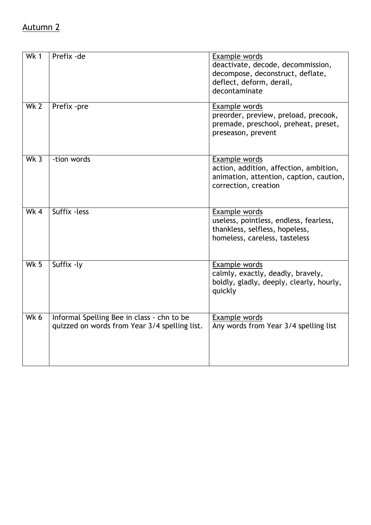#### Autumn 2

| Wk 1        | Prefix - de                                                                                 | Example words<br>deactivate, decode, decommission,<br>decompose, deconstruct, deflate,<br>deflect, deform, derail,<br>decontaminate |
|-------------|---------------------------------------------------------------------------------------------|-------------------------------------------------------------------------------------------------------------------------------------|
| Wk 2        | Prefix -pre                                                                                 | Example words<br>preorder, preview, preload, precook,<br>premade, preschool, preheat, preset,<br>preseason, prevent                 |
| Wk $3$      | -tion words                                                                                 | Example words<br>action, addition, affection, ambition,<br>animation, attention, caption, caution,<br>correction, creation          |
| Wk 4        | Suffix - less                                                                               | Example words<br>useless, pointless, endless, fearless,<br>thankless, selfless, hopeless,<br>homeless, careless, tasteless          |
| <b>Wk 5</b> | Suffix -ly                                                                                  | Example words<br>calmly, exactly, deadly, bravely,<br>boldly, gladly, deeply, clearly, hourly,<br>quickly                           |
| Wk 6        | Informal Spelling Bee in class - chn to be<br>quizzed on words from Year 3/4 spelling list. | Example words<br>Any words from Year 3/4 spelling list                                                                              |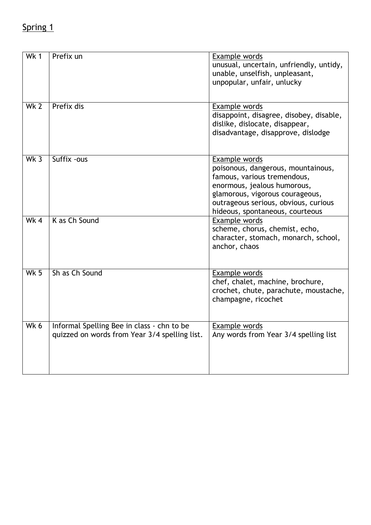### Spring 1

| Wk 1            | Prefix un                                                                                   | Example words<br>unusual, uncertain, unfriendly, untidy,<br>unable, unselfish, unpleasant,<br>unpopular, unfair, unlucky                                                                                                        |
|-----------------|---------------------------------------------------------------------------------------------|---------------------------------------------------------------------------------------------------------------------------------------------------------------------------------------------------------------------------------|
| Wk <sub>2</sub> | Prefix dis                                                                                  | Example words<br>disappoint, disagree, disobey, disable,<br>dislike, dislocate, disappear,<br>disadvantage, disapprove, dislodge                                                                                                |
| Wk <sub>3</sub> | Suffix - ous                                                                                | Example words<br>poisonous, dangerous, mountainous,<br>famous, various tremendous,<br>enormous, jealous humorous,<br>glamorous, vigorous courageous,<br>outrageous serious, obvious, curious<br>hideous, spontaneous, courteous |
| Wk 4            | K as Ch Sound                                                                               | Example words<br>scheme, chorus, chemist, echo,<br>character, stomach, monarch, school,<br>anchor, chaos                                                                                                                        |
| Wk $5$          | Sh as Ch Sound                                                                              | Example words<br>chef, chalet, machine, brochure,<br>crochet, chute, parachute, moustache,<br>champagne, ricochet                                                                                                               |
| $Wk$ 6          | Informal Spelling Bee in class - chn to be<br>quizzed on words from Year 3/4 spelling list. | Example words<br>Any words from Year 3/4 spelling list                                                                                                                                                                          |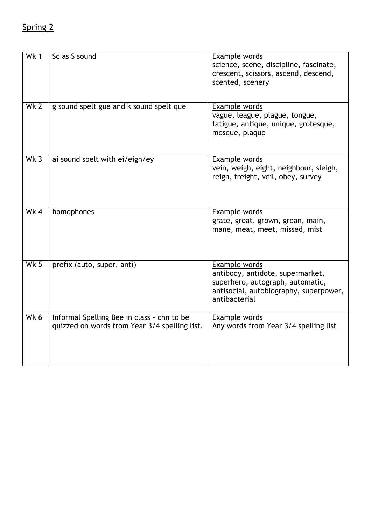# Spring 2

| <b>Wk1</b>      | Sc as S sound                                                                               | Example words<br>science, scene, discipline, fascinate,<br>crescent, scissors, ascend, descend,<br>scented, scenery                              |
|-----------------|---------------------------------------------------------------------------------------------|--------------------------------------------------------------------------------------------------------------------------------------------------|
| Wk <sub>2</sub> | g sound spelt gue and k sound spelt que                                                     | Example words<br>vague, league, plague, tongue,<br>fatigue, antique, unique, grotesque,<br>mosque, plaque                                        |
| Wk 3            | ai sound spelt with ei/eigh/ey                                                              | Example words<br>vein, weigh, eight, neighbour, sleigh,<br>reign, freight, veil, obey, survey                                                    |
| Wk 4            | homophones                                                                                  | Example words<br>grate, great, grown, groan, main,<br>mane, meat, meet, missed, mist                                                             |
| Wk $5$          | prefix (auto, super, anti)                                                                  | Example words<br>antibody, antidote, supermarket,<br>superhero, autograph, automatic,<br>antisocial, autobiography, superpower,<br>antibacterial |
| Wk 6            | Informal Spelling Bee in class - chn to be<br>quizzed on words from Year 3/4 spelling list. | Example words<br>Any words from Year 3/4 spelling list                                                                                           |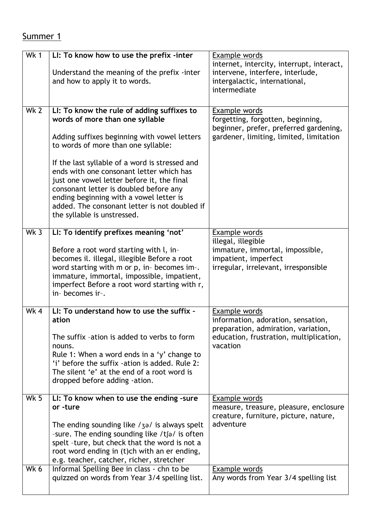### Summer 1

| Wk 1        | LI: To know how to use the prefix -inter                                                                                                                                                                                                                                                                                                                                                                                                                                              | Example words                                                                                                                                     |
|-------------|---------------------------------------------------------------------------------------------------------------------------------------------------------------------------------------------------------------------------------------------------------------------------------------------------------------------------------------------------------------------------------------------------------------------------------------------------------------------------------------|---------------------------------------------------------------------------------------------------------------------------------------------------|
|             | Understand the meaning of the prefix -inter<br>and how to apply it to words.                                                                                                                                                                                                                                                                                                                                                                                                          | internet, intercity, interrupt, interact,<br>intervene, interfere, interlude,<br>intergalactic, international,<br>intermediate                    |
| Wk 2        | LI: To know the rule of adding suffixes to<br>words of more than one syllable<br>Adding suffixes beginning with vowel letters<br>to words of more than one syllable:<br>If the last syllable of a word is stressed and<br>ends with one consonant letter which has<br>just one vowel letter before it, the final<br>consonant letter is doubled before any<br>ending beginning with a vowel letter is<br>added. The consonant letter is not doubled if<br>the syllable is unstressed. | Example words<br>forgetting, forgotten, beginning,<br>beginner, prefer, preferred gardening,<br>gardener, limiting, limited, limitation           |
| $Wk$ 3      | LI: To identify prefixes meaning 'not'<br>Before a root word starting with l, in-<br>becomes il. illegal, illegible Before a root<br>word starting with m or p, in- becomes im-.<br>immature, immortal, impossible, impatient,<br>imperfect Before a root word starting with r,<br>in- becomes ir-.                                                                                                                                                                                   | Example words<br>illegal, illegible<br>immature, immortal, impossible,<br>impatient, imperfect<br>irregular, irrelevant, irresponsible            |
| Wk 4        | LI: To understand how to use the suffix -<br>ation<br>The suffix -ation is added to verbs to form<br>nouns.<br>Rule 1: When a word ends in a 'y' change to<br>'i' before the suffix -ation is added. Rule 2:<br>The silent 'e' at the end of a root word is<br>dropped before adding -ation.                                                                                                                                                                                          | Example words<br>information, adoration, sensation,<br>preparation, admiration, variation,<br>education, frustration, multiplication,<br>vacation |
| <b>Wk 5</b> | LI: To know when to use the ending -sure<br>or -ture<br>The ending sounding like $/3$ <sup>2</sup> is always spelt<br>-sure. The ending sounding like /tʃə/ is often<br>spelt -ture, but check that the word is not a<br>root word ending in (t)ch with an er ending,<br>e.g. teacher, catcher, richer, stretcher                                                                                                                                                                     | Example words<br>measure, treasure, pleasure, enclosure<br>creature, furniture, picture, nature,<br>adventure                                     |
| Wk 6        | Informal Spelling Bee in class - chn to be<br>quizzed on words from Year 3/4 spelling list.                                                                                                                                                                                                                                                                                                                                                                                           | Example words<br>Any words from Year 3/4 spelling list                                                                                            |